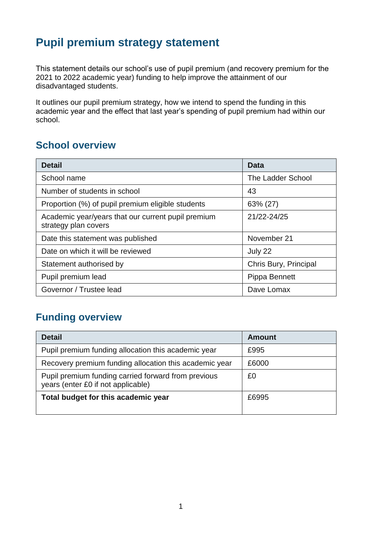## **Pupil premium strategy statement**

This statement details our school's use of pupil premium (and recovery premium for the 2021 to 2022 academic year) funding to help improve the attainment of our disadvantaged students.

It outlines our pupil premium strategy, how we intend to spend the funding in this academic year and the effect that last year's spending of pupil premium had within our school.

## **School overview**

| <b>Detail</b>                                                              | <b>Data</b>           |
|----------------------------------------------------------------------------|-----------------------|
| School name                                                                | The Ladder School     |
| Number of students in school                                               | 43                    |
| Proportion (%) of pupil premium eligible students                          | 63% (27)              |
| Academic year/years that our current pupil premium<br>strategy plan covers | 21/22-24/25           |
| Date this statement was published                                          | November 21           |
| Date on which it will be reviewed                                          | July 22               |
| Statement authorised by                                                    | Chris Bury, Principal |
| Pupil premium lead                                                         | Pippa Bennett         |
| Governor / Trustee lead                                                    | Dave Lomax            |

### **Funding overview**

| <b>Detail</b>                                                                             | Amount |
|-------------------------------------------------------------------------------------------|--------|
| Pupil premium funding allocation this academic year                                       | £995   |
| Recovery premium funding allocation this academic year                                    | £6000  |
| Pupil premium funding carried forward from previous<br>years (enter £0 if not applicable) | £0     |
| Total budget for this academic year                                                       | £6995  |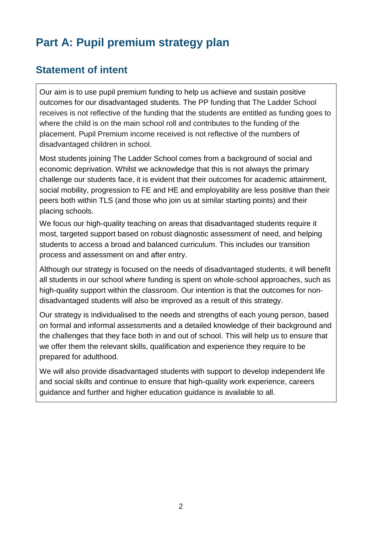# **Part A: Pupil premium strategy plan**

## **Statement of intent**

Our aim is to use pupil premium funding to help us achieve and sustain positive outcomes for our disadvantaged students. The PP funding that The Ladder School receives is not reflective of the funding that the students are entitled as funding goes to where the child is on the main school roll and contributes to the funding of the placement. Pupil Premium income received is not reflective of the numbers of disadvantaged children in school.

Most students joining The Ladder School comes from a background of social and economic deprivation. Whilst we acknowledge that this is not always the primary challenge our students face, it is evident that their outcomes for academic attainment, social mobility, progression to FE and HE and employability are less positive than their peers both within TLS (and those who join us at similar starting points) and their placing schools.

We focus our high-quality teaching on areas that disadvantaged students require it most, targeted support based on robust diagnostic assessment of need, and helping students to access a broad and balanced curriculum. This includes our transition process and assessment on and after entry.

Although our strategy is focused on the needs of disadvantaged students, it will benefit all students in our school where funding is spent on whole-school approaches, such as high-quality support within the classroom. Our intention is that the outcomes for nondisadvantaged students will also be improved as a result of this strategy.

Our strategy is individualised to the needs and strengths of each young person, based on formal and informal assessments and a detailed knowledge of their background and the challenges that they face both in and out of school. This will help us to ensure that we offer them the relevant skills, qualification and experience they require to be prepared for adulthood.

We will also provide disadvantaged students with support to develop independent life and social skills and continue to ensure that high-quality work experience, careers guidance and further and higher education guidance is available to all.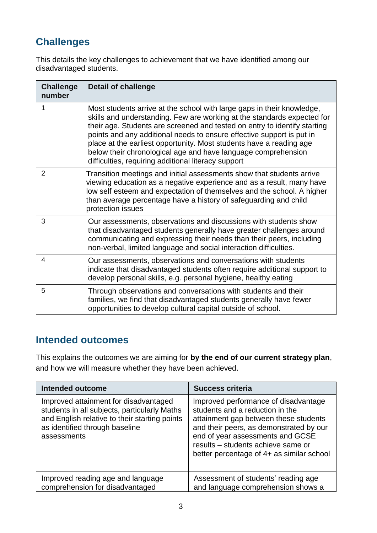## **Challenges**

This details the key challenges to achievement that we have identified among our disadvantaged students.

| <b>Challenge</b><br>number | <b>Detail of challenge</b>                                                                                                                                                                                                                                                                                                                                                                                                                                                                             |
|----------------------------|--------------------------------------------------------------------------------------------------------------------------------------------------------------------------------------------------------------------------------------------------------------------------------------------------------------------------------------------------------------------------------------------------------------------------------------------------------------------------------------------------------|
| 1                          | Most students arrive at the school with large gaps in their knowledge,<br>skills and understanding. Few are working at the standards expected for<br>their age. Students are screened and tested on entry to identify starting<br>points and any additional needs to ensure effective support is put in<br>place at the earliest opportunity. Most students have a reading age<br>below their chronological age and have language comprehension<br>difficulties, requiring additional literacy support |
| $\overline{2}$             | Transition meetings and initial assessments show that students arrive<br>viewing education as a negative experience and as a result, many have<br>low self esteem and expectation of themselves and the school. A higher<br>than average percentage have a history of safeguarding and child<br>protection issues                                                                                                                                                                                      |
| 3                          | Our assessments, observations and discussions with students show<br>that disadvantaged students generally have greater challenges around<br>communicating and expressing their needs than their peers, including<br>non-verbal, limited language and social interaction difficulties.                                                                                                                                                                                                                  |
| 4                          | Our assessments, observations and conversations with students<br>indicate that disadvantaged students often require additional support to<br>develop personal skills, e.g. personal hygiene, healthy eating                                                                                                                                                                                                                                                                                            |
| 5                          | Through observations and conversations with students and their<br>families, we find that disadvantaged students generally have fewer<br>opportunities to develop cultural capital outside of school.                                                                                                                                                                                                                                                                                                   |

#### **Intended outcomes**

This explains the outcomes we are aiming for **by the end of our current strategy plan**, and how we will measure whether they have been achieved.

| <b>Intended outcome</b>                                                                                                                                                                 | <b>Success criteria</b>                                                                                                                                                                                                                                                            |
|-----------------------------------------------------------------------------------------------------------------------------------------------------------------------------------------|------------------------------------------------------------------------------------------------------------------------------------------------------------------------------------------------------------------------------------------------------------------------------------|
| Improved attainment for disadvantaged<br>students in all subjects, particularly Maths<br>and English relative to their starting points<br>as identified through baseline<br>assessments | Improved performance of disadvantage<br>students and a reduction in the<br>attainment gap between these students<br>and their peers, as demonstrated by our<br>end of year assessments and GCSE<br>results - students achieve same or<br>better percentage of 4+ as similar school |
| Improved reading age and language<br>comprehension for disadvantaged                                                                                                                    | Assessment of students' reading age<br>and language comprehension shows a                                                                                                                                                                                                          |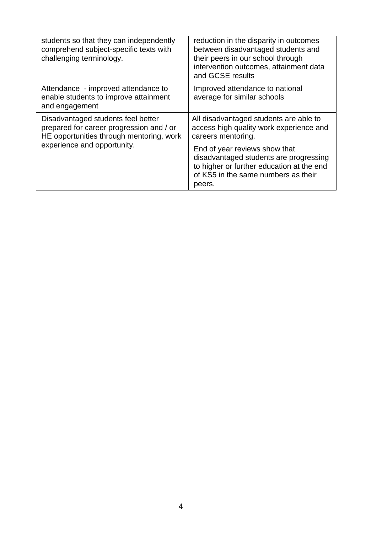| students so that they can independently<br>comprehend subject-specific texts with<br>challenging terminology.                                             | reduction in the disparity in outcomes<br>between disadvantaged students and<br>their peers in our school through<br>intervention outcomes, attainment data<br>and GCSE results |
|-----------------------------------------------------------------------------------------------------------------------------------------------------------|---------------------------------------------------------------------------------------------------------------------------------------------------------------------------------|
| Attendance - improved attendance to<br>enable students to improve attainment<br>and engagement                                                            | Improved attendance to national<br>average for similar schools                                                                                                                  |
| Disadvantaged students feel better<br>prepared for career progression and / or<br>HE opportunities through mentoring, work<br>experience and opportunity. | All disadvantaged students are able to<br>access high quality work experience and<br>careers mentoring.<br>End of year reviews show that                                        |
|                                                                                                                                                           | disadvantaged students are progressing<br>to higher or further education at the end<br>of KS5 in the same numbers as their<br>peers.                                            |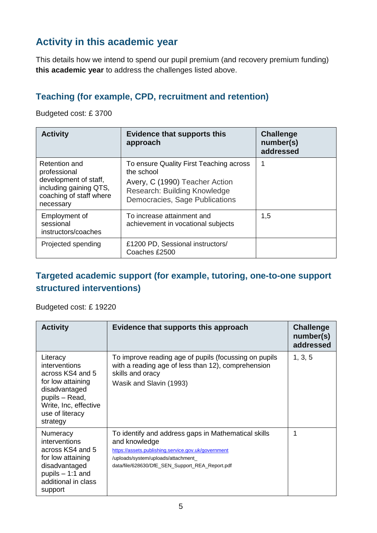## **Activity in this academic year**

This details how we intend to spend our pupil premium (and recovery premium funding) **this academic year** to address the challenges listed above.

#### **Teaching (for example, CPD, recruitment and retention)**

Budgeted cost: £ 3700

| <b>Activity</b>                                                                                                          | <b>Evidence that supports this</b><br>approach                                                                                                            | <b>Challenge</b><br>number(s)<br>addressed |
|--------------------------------------------------------------------------------------------------------------------------|-----------------------------------------------------------------------------------------------------------------------------------------------------------|--------------------------------------------|
| Retention and<br>professional<br>development of staff,<br>including gaining QTS,<br>coaching of staff where<br>necessary | To ensure Quality First Teaching across<br>the school<br>Avery, C (1990) Teacher Action<br>Research: Building Knowledge<br>Democracies, Sage Publications |                                            |
| Employment of<br>sessional<br>instructors/coaches                                                                        | To increase attainment and<br>achievement in vocational subjects                                                                                          | 1,5                                        |
| Projected spending                                                                                                       | £1200 PD, Sessional instructors/<br>Coaches £2500                                                                                                         |                                            |

#### **Targeted academic support (for example, tutoring, one-to-one support structured interventions)**

Budgeted cost: £ 19220

| <b>Activity</b>                                                                                                                                               | Evidence that supports this approach                                                                                                                                                                                  | <b>Challenge</b><br>number(s)<br>addressed |
|---------------------------------------------------------------------------------------------------------------------------------------------------------------|-----------------------------------------------------------------------------------------------------------------------------------------------------------------------------------------------------------------------|--------------------------------------------|
| Literacy<br>interventions<br>across KS4 and 5<br>for low attaining<br>disadvantaged<br>pupils - Read,<br>Write, Inc, effective<br>use of literacy<br>strategy | To improve reading age of pupils (focussing on pupils<br>with a reading age of less than 12), comprehension<br>skills and oracy<br>Wasik and Slavin (1993)                                                            | 1, 3, 5                                    |
| Numeracy<br>interventions<br>across KS4 and 5<br>for low attaining<br>disadvantaged<br>pupils $-1:1$ and<br>additional in class<br>support                    | To identify and address gaps in Mathematical skills<br>and knowledge<br>https://assets.publishing.service.gov.uk/government<br>/uploads/system/uploads/attachment_<br>data/file/628630/DfE_SEN_Support_REA_Report.pdf | 1                                          |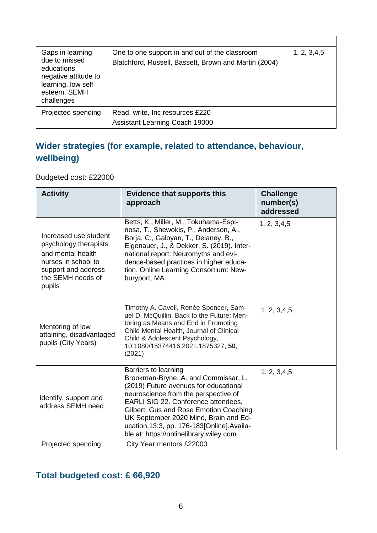| Gaps in learning<br>due to missed<br>educations,<br>negative attitude to<br>learning, low self<br>esteem, SEMH<br>challenges | One to one support in and out of the classroom<br>Blatchford, Russell, Bassett, Brown and Martin (2004) | 1, 2, 3, 4, 5 |
|------------------------------------------------------------------------------------------------------------------------------|---------------------------------------------------------------------------------------------------------|---------------|
| Projected spending                                                                                                           | Read, write, Inc resources £220<br><b>Assistant Learning Coach 19000</b>                                |               |

## **Wider strategies (for example, related to attendance, behaviour, wellbeing)**

Budgeted cost: £22000

| <b>Activity</b>                                                                                                                                  | <b>Evidence that supports this</b><br>approach                                                                                                                                                                                                                                                                                                                    | <b>Challenge</b><br>number(s)<br>addressed |
|--------------------------------------------------------------------------------------------------------------------------------------------------|-------------------------------------------------------------------------------------------------------------------------------------------------------------------------------------------------------------------------------------------------------------------------------------------------------------------------------------------------------------------|--------------------------------------------|
| Increased use student<br>psychology therapists<br>and mental health<br>nurses in school to<br>support and address<br>the SEMH needs of<br>pupils | Betts, K., Miller, M., Tokuhama-Espi-<br>nosa, T., Shewokis, P., Anderson, A.,<br>Borja, C., Galoyan, T., Delaney, B.,<br>Eigenauer, J., & Dekker, S. (2019). Inter-<br>national report: Neuromyths and evi-<br>dence-based practices in higher educa-<br>tion. Online Learning Consortium: New-<br>buryport, MA.                                                 | 1, 2, 3, 4, 5                              |
| Mentoring of low<br>attaining, disadvantaged<br>pupils (City Years)                                                                              | Timothy A. Cavell, Renée Spencer, Sam-<br>uel D. McQuillin, Back to the Future: Men-<br>toring as Means and End in Promoting<br>Child Mental Health, Journal of Clinical<br>Child & Adolescent Psychology,<br>10.1080/15374416.2021.1875327, 50,<br>(2021)                                                                                                        | 1, 2, 3, 4, 5                              |
| Identify, support and<br>address SEMH need                                                                                                       | Barriers to learning<br>Brookman-Bryne, A. and Commissar, L.<br>(2019) Future avenues for educational<br>neuroscience from the perspective of<br>EARLI SIG 22. Conference attendees,<br>Gilbert, Gus and Rose Emotion Coaching<br>UK September 2020 Mind, Brain and Ed-<br>ucation, 13:3, pp. 176-183[Online]. Availa-<br>ble at: https://onlinelibrary.wiley.com | 1, 2, 3, 4, 5                              |
| Projected spending                                                                                                                               | City Year mentors £22000                                                                                                                                                                                                                                                                                                                                          |                                            |

#### **Total budgeted cost: £ 66,920**